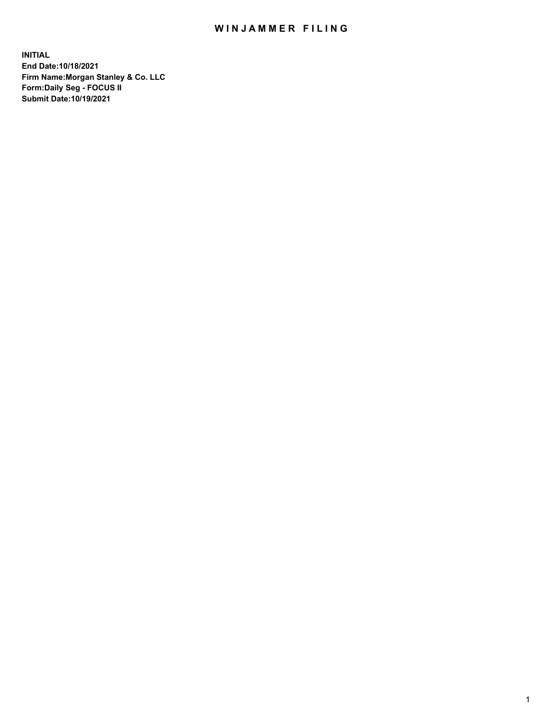## WIN JAMMER FILING

**INITIAL End Date:10/18/2021 Firm Name:Morgan Stanley & Co. LLC Form:Daily Seg - FOCUS II Submit Date:10/19/2021**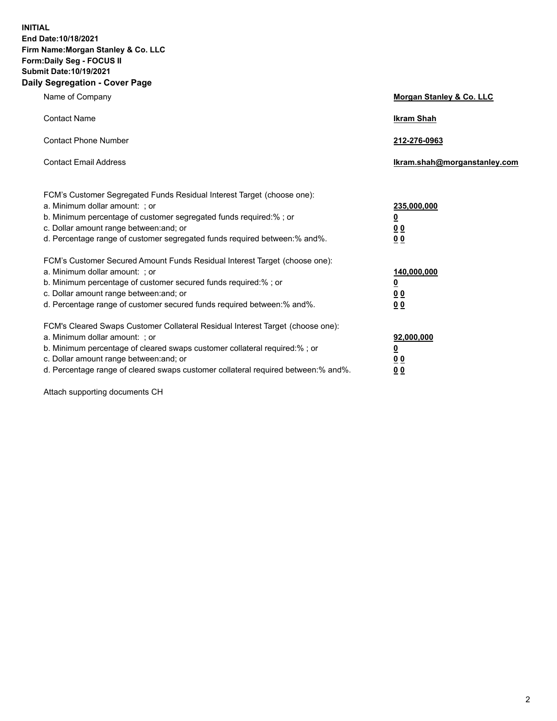**INITIAL End Date:10/18/2021 Firm Name:Morgan Stanley & Co. LLC Form:Daily Seg - FOCUS II Submit Date:10/19/2021 Daily Segregation - Cover Page**

| Name of Company                                                                                                                                                                                                                                                                                                                | Morgan Stanley & Co. LLC                               |
|--------------------------------------------------------------------------------------------------------------------------------------------------------------------------------------------------------------------------------------------------------------------------------------------------------------------------------|--------------------------------------------------------|
| <b>Contact Name</b>                                                                                                                                                                                                                                                                                                            | <b>Ikram Shah</b>                                      |
| <b>Contact Phone Number</b>                                                                                                                                                                                                                                                                                                    | 212-276-0963                                           |
| <b>Contact Email Address</b>                                                                                                                                                                                                                                                                                                   | Ikram.shah@morganstanley.com                           |
| FCM's Customer Segregated Funds Residual Interest Target (choose one):<br>a. Minimum dollar amount: ; or<br>b. Minimum percentage of customer segregated funds required:% ; or<br>c. Dollar amount range between: and; or<br>d. Percentage range of customer segregated funds required between:% and%.                         | 235,000,000<br><u>0</u><br>0 Q<br>0 Q                  |
| FCM's Customer Secured Amount Funds Residual Interest Target (choose one):<br>a. Minimum dollar amount: ; or<br>b. Minimum percentage of customer secured funds required:% ; or<br>c. Dollar amount range between: and; or<br>d. Percentage range of customer secured funds required between:% and%.                           | 140,000,000<br><u>0</u><br><u>00</u><br>0 <sub>0</sub> |
| FCM's Cleared Swaps Customer Collateral Residual Interest Target (choose one):<br>a. Minimum dollar amount: ; or<br>b. Minimum percentage of cleared swaps customer collateral required:% ; or<br>c. Dollar amount range between: and; or<br>d. Percentage range of cleared swaps customer collateral required between:% and%. | 92,000,000<br><u>0</u><br>0 Q<br>00                    |

Attach supporting documents CH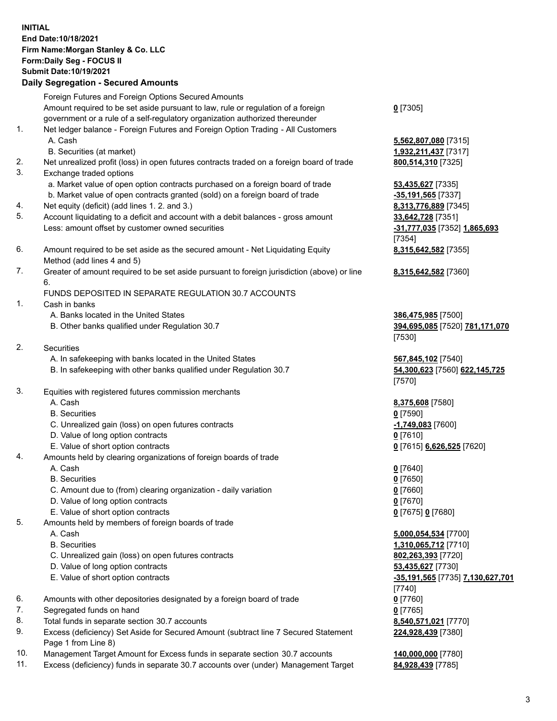## **INITIAL End Date:10/18/2021 Firm Name:Morgan Stanley & Co. LLC Form:Daily Seg - FOCUS II Submit Date:10/19/2021**

## **Daily Segregation - Secured Amounts**

Foreign Futures and Foreign Options Secured Amounts Amount required to be set aside pursuant to law, rule or regulation of a foreign government or a rule of a self-regulatory organization authorized thereunder 1. Net ledger balance - Foreign Futures and Foreign Option Trading - All Customers A. Cash **5,562,807,080** [7315] B. Securities (at market) **1,932,211,437** [7317] 2. Net unrealized profit (loss) in open futures contracts traded on a foreign board of trade **800,514,310** [7325] 3. Exchange traded options a. Market value of open option contracts purchased on a foreign board of trade **53,435,627** [7335] b. Market value of open contracts granted (sold) on a foreign board of trade **-35,191,565** [7337] 4. Net equity (deficit) (add lines 1. 2. and 3.) **8,313,776,889** [7345] 5. Account liquidating to a deficit and account with a debit balances - gross amount **33,642,728** [7351] Less: amount offset by customer owned securities **-31,777,035** [7352] **1,865,693** 6. Amount required to be set aside as the secured amount - Net Liquidating Equity Method (add lines 4 and 5) 7. Greater of amount required to be set aside pursuant to foreign jurisdiction (above) or line 6. FUNDS DEPOSITED IN SEPARATE REGULATION 30.7 ACCOUNTS 1. Cash in banks A. Banks located in the United States **386,475,985** [7500] B. Other banks qualified under Regulation 30.7 **394,695,085** [7520] **781,171,070** 2. Securities A. In safekeeping with banks located in the United States **567,845,102** [7540] B. In safekeeping with other banks qualified under Regulation 30.7 **54,300,623** [7560] **622,145,725** 3. Equities with registered futures commission merchants A. Cash **8,375,608** [7580] B. Securities **0** [7590]

- C. Unrealized gain (loss) on open futures contracts **-1,749,083** [7600]
- D. Value of long option contracts **0** [7610]
- E. Value of short option contracts **0** [7615] **6,626,525** [7620]
- 4. Amounts held by clearing organizations of foreign boards of trade
	-
	- B. Securities **0** [7650]
	- C. Amount due to (from) clearing organization daily variation **0** [7660]
	- D. Value of long option contracts **0** [7670]
	- E. Value of short option contracts **0** [7675] **0** [7680]
- 5. Amounts held by members of foreign boards of trade
	-
	-
	- C. Unrealized gain (loss) on open futures contracts **802,263,393** [7720]
	- D. Value of long option contracts **53,435,627** [7730]
	-
- 6. Amounts with other depositories designated by a foreign board of trade **0** [7760]
- 7. Segregated funds on hand **0** [7765]
- 8. Total funds in separate section 30.7 accounts **8,540,571,021** [7770]
- 9. Excess (deficiency) Set Aside for Secured Amount (subtract line 7 Secured Statement Page 1 from Line 8)
- 10. Management Target Amount for Excess funds in separate section 30.7 accounts **140,000,000** [7780]
- 11. Excess (deficiency) funds in separate 30.7 accounts over (under) Management Target **84,928,439** [7785]

**0** [7305]

[7354] **8,315,642,582** [7355]

**8,315,642,582** [7360]

[7530]

[7570]

A. Cash **0** [7640]

 A. Cash **5,000,054,534** [7700] B. Securities **1,310,065,712** [7710] E. Value of short option contracts **-35,191,565** [7735] **7,130,627,701** [7740] **224,928,439** [7380]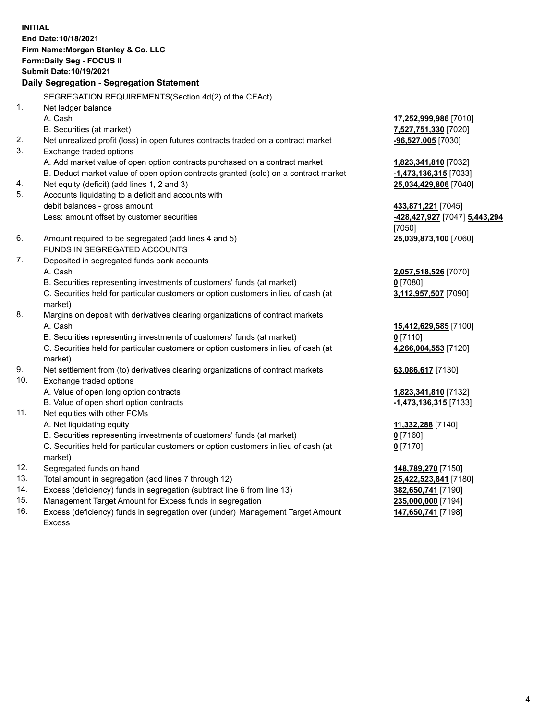**INITIAL End Date:10/18/2021 Firm Name:Morgan Stanley & Co. LLC Form:Daily Seg - FOCUS II Submit Date:10/19/2021 Daily Segregation - Segregation Statement** SEGREGATION REQUIREMENTS(Section 4d(2) of the CEAct) 1. Net ledger balance A. Cash **17,252,999,986** [7010] B. Securities (at market) **7,527,751,330** [7020] 2. Net unrealized profit (loss) in open futures contracts traded on a contract market **-96,527,005** [7030] 3. Exchange traded options A. Add market value of open option contracts purchased on a contract market **1,823,341,810** [7032] B. Deduct market value of open option contracts granted (sold) on a contract market **-1,473,136,315** [7033] 4. Net equity (deficit) (add lines 1, 2 and 3) **25,034,429,806** [7040] 5. Accounts liquidating to a deficit and accounts with debit balances - gross amount **433,871,221** [7045] Less: amount offset by customer securities **-428,427,927** [7047] **5,443,294** [7050] 6. Amount required to be segregated (add lines 4 and 5) **25,039,873,100** [7060] FUNDS IN SEGREGATED ACCOUNTS 7. Deposited in segregated funds bank accounts A. Cash **2,057,518,526** [7070] B. Securities representing investments of customers' funds (at market) **0** [7080] C. Securities held for particular customers or option customers in lieu of cash (at market) **3,112,957,507** [7090] 8. Margins on deposit with derivatives clearing organizations of contract markets A. Cash **15,412,629,585** [7100] B. Securities representing investments of customers' funds (at market) **0** [7110] C. Securities held for particular customers or option customers in lieu of cash (at market) **4,266,004,553** [7120] 9. Net settlement from (to) derivatives clearing organizations of contract markets **63,086,617** [7130] 10. Exchange traded options A. Value of open long option contracts **1,823,341,810** [7132] B. Value of open short option contracts **-1,473,136,315** [7133] 11. Net equities with other FCMs A. Net liquidating equity **11,332,288** [7140] B. Securities representing investments of customers' funds (at market) **0** [7160] C. Securities held for particular customers or option customers in lieu of cash (at market) **0** [7170] 12. Segregated funds on hand **148,789,270** [7150] 13. Total amount in segregation (add lines 7 through 12) **25,422,523,841** [7180] 14. Excess (deficiency) funds in segregation (subtract line 6 from line 13) **382,650,741** [7190]

- 15. Management Target Amount for Excess funds in segregation **235,000,000** [7194]
- 16. Excess (deficiency) funds in segregation over (under) Management Target Amount Excess

**147,650,741** [7198]